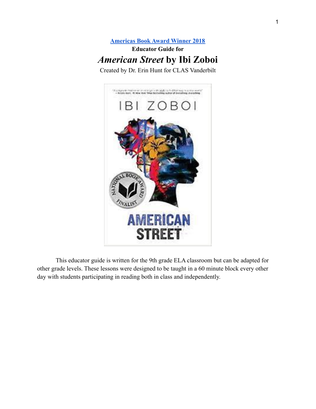# **[Americas Book Award Winner 2018](http://claspprograms.org/pages/detail/68/Award-Winners) Educator Guide for** *American Street* **by Ibi Zoboi**

Created by Dr. Erin Hunt for CLAS Vanderbilt



This educator guide is written for the 9th grade ELA classroom but can be adapted for other grade levels. These lessons were designed to be taught in a 60 minute block every other day with students participating in reading both in class and independently.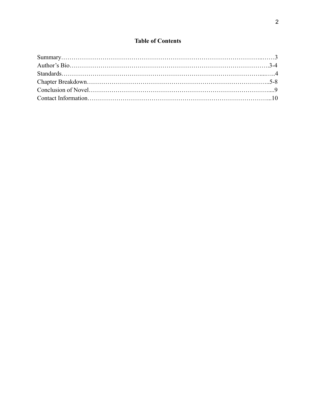## **Table of Contents**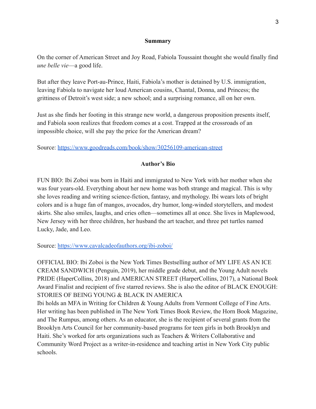#### **Summary**

On the corner of American Street and Joy Road, Fabiola Toussaint thought she would finally find *une belle vie*—a good life.

But after they leave Port-au-Prince, Haiti, Fabiola's mother is detained by U.S. immigration, leaving Fabiola to navigate her loud American cousins, Chantal, Donna, and Princess; the grittiness of Detroit's west side; a new school; and a surprising romance, all on her own.

Just as she finds her footing in this strange new world, a dangerous proposition presents itself, and Fabiola soon realizes that freedom comes at a cost. Trapped at the crossroads of an impossible choice, will she pay the price for the American dream?

Source: <https://www.goodreads.com/book/show/30256109-american-street>

### **Author's Bio**

FUN BIO: Ibi Zoboi was born in Haiti and immigrated to New York with her mother when she was four years-old. Everything about her new home was both strange and magical. This is why she loves reading and writing science-fiction, fantasy, and mythology. Ibi wears lots of bright colors and is a huge fan of mangos, avocados, dry humor, long-winded storytellers, and modest skirts. She also smiles, laughs, and cries often—sometimes all at once. She lives in Maplewood, New Jersey with her three children, her husband the art teacher, and three pet turtles named Lucky, Jade, and Leo.

Source: <https://www.cavalcadeofauthors.org/ibi-zoboi/>

OFFICIAL BIO: Ibi Zoboi is the New York Times Bestselling author of MY LIFE AS AN ICE CREAM SANDWICH (Penguin, 2019), her middle grade debut, and the Young Adult novels PRIDE (HaperCollins, 2018) and AMERICAN STREET (HarperCollins, 2017), a National Book Award Finalist and recipient of five starred reviews. She is also the editor of BLACK ENOUGH: STORIES OF BEING YOUNG & BLACK IN AMERICA

Ibi holds an MFA in Writing for Children & Young Adults from Vermont College of Fine Arts. Her writing has been published in The New York Times Book Review, the Horn Book Magazine, and The Rumpus, among others. As an educator, she is the recipient of several grants from the Brooklyn Arts Council for her community-based programs for teen girls in both Brooklyn and Haiti. She's worked for arts organizations such as Teachers & Writers Collaborative and Community Word Project as a writer-in-residence and teaching artist in New York City public schools.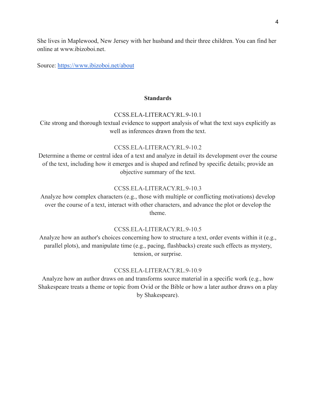She lives in Maplewood, New Jersey with her husband and their three children. You can find her online at www.ibizoboi.net.

Source: <https://www.ibizoboi.net/about>

#### **Standards**

#### CCSS.ELA-LITERACY.RL.9-10.1

Cite strong and thorough textual evidence to support analysis of what the text says explicitly as well as inferences drawn from the text.

#### [CCSS.ELA-LITERACY.RL.9-10.2](http://www.corestandards.org/ELA-Literacy/RL/9-10/2/)

Determine a theme or central idea of a text and analyze in detail its development over the course of the text, including how it emerges and is shaped and refined by specific details; provide an objective summary of the text.

#### [CCSS.ELA-LITERACY.RL.9-10.3](http://www.corestandards.org/ELA-Literacy/RL/9-10/3/)

Analyze how complex characters (e.g., those with multiple or conflicting motivations) develop over the course of a text, interact with other characters, and advance the plot or develop the theme.

#### [CCSS.ELA-LITERACY.RL.9-10.5](http://www.corestandards.org/ELA-Literacy/RL/9-10/5/)

Analyze how an author's choices concerning how to structure a text, order events within it (e.g., parallel plots), and manipulate time (e.g., pacing, flashbacks) create such effects as mystery, tension, or surprise.

#### [CCSS.ELA-LITERACY.RL.9-10.9](http://www.corestandards.org/ELA-Literacy/RL/9-10/9/)

Analyze how an author draws on and transforms source material in a specific work (e.g., how Shakespeare treats a theme or topic from Ovid or the Bible or how a later author draws on a play by Shakespeare).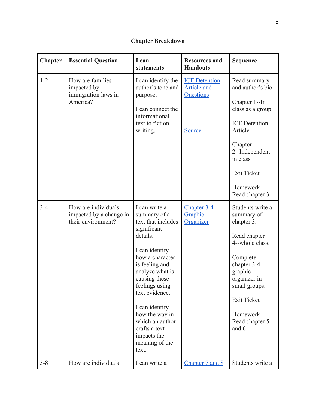# **Chapter Breakdown**

| <b>Chapter</b> | <b>Essential Question</b>                                            | I can<br>statements                                                                                                                                                                                                                                                                                                             | <b>Resources and</b><br><b>Handouts</b>                                         | <b>Sequence</b>                                                                                                                                                                                                       |
|----------------|----------------------------------------------------------------------|---------------------------------------------------------------------------------------------------------------------------------------------------------------------------------------------------------------------------------------------------------------------------------------------------------------------------------|---------------------------------------------------------------------------------|-----------------------------------------------------------------------------------------------------------------------------------------------------------------------------------------------------------------------|
| $1 - 2$        | How are families<br>impacted by<br>immigration laws in<br>America?   | I can identify the<br>author's tone and<br>purpose.<br>I can connect the<br>informational<br>text to fiction<br>writing.                                                                                                                                                                                                        | <b>ICE</b> Detention<br><b>Article and</b><br><b>Ouestions</b><br><b>Source</b> | Read summary<br>and author's bio<br>Chapter 1--In<br>class as a group<br><b>ICE</b> Detention<br>Article<br>Chapter<br>2--Independent<br>in class<br><b>Exit Ticket</b><br>Homework--<br>Read chapter 3               |
| $3 - 4$        | How are individuals<br>impacted by a change in<br>their environment? | I can write a<br>summary of a<br>text that includes<br>significant<br>details.<br>I can identify<br>how a character<br>is feeling and<br>analyze what is<br>causing these<br>feelings using<br>text evidence.<br>I can identify<br>how the way in<br>which an author<br>crafts a text<br>impacts the<br>meaning of the<br>text. | Chapter 3-4<br>Graphic<br>Organizer                                             | Students write a<br>summary of<br>chapter 3.<br>Read chapter<br>4--whole class.<br>Complete<br>chapter 3-4<br>graphic<br>organizer in<br>small groups.<br><b>Exit Ticket</b><br>Homework--<br>Read chapter 5<br>and 6 |
| $5 - 8$        | How are individuals                                                  | I can write a                                                                                                                                                                                                                                                                                                                   | Chapter 7 and 8                                                                 | Students write a                                                                                                                                                                                                      |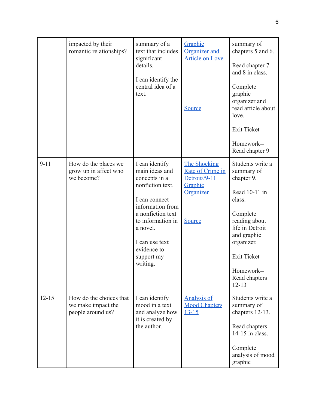|           | impacted by their<br>romantic relationships?                       | summary of a<br>text that includes<br>significant<br>details.<br>I can identify the<br>central idea of a<br>text.                                                                                                           | Graphic<br>Organizer and<br>Article on Love<br><b>Source</b>                                             | summary of<br>chapters 5 and 6.<br>Read chapter 7<br>and 8 in class.<br>Complete<br>graphic<br>organizer and<br>read article about<br>love.<br><b>Exit Ticket</b><br>Homework--<br>Read chapter 9                      |
|-----------|--------------------------------------------------------------------|-----------------------------------------------------------------------------------------------------------------------------------------------------------------------------------------------------------------------------|----------------------------------------------------------------------------------------------------------|------------------------------------------------------------------------------------------------------------------------------------------------------------------------------------------------------------------------|
| $9 - 11$  | How do the places we<br>grow up in affect who<br>we become?        | I can identify<br>main ideas and<br>concepts in a<br>nonfiction text.<br>I can connect<br>information from<br>a nonfiction text<br>to information in<br>a novel.<br>I can use text<br>evidence to<br>support my<br>writing. | <b>The Shocking</b><br>Rate of Crime in<br>Detroit//9-11<br>Graphic<br><b>Organizer</b><br><b>Source</b> | Students write a<br>summary of<br>chapter 9.<br>Read 10-11 in<br>class.<br>Complete<br>reading about<br>life in Detroit<br>and graphic<br>organizer.<br><b>Exit Ticket</b><br>Homework--<br>Read chapters<br>$12 - 13$ |
| $12 - 15$ | How do the choices that<br>we make impact the<br>people around us? | I can identify<br>mood in a text<br>and analyze how<br>it is created by<br>the author.                                                                                                                                      | <b>Analysis of</b><br><b>Mood Chapters</b><br>$13 - 15$                                                  | Students write a<br>summary of<br>chapters 12-13.<br>Read chapters<br>14-15 in class.<br>Complete<br>analysis of mood<br>graphic                                                                                       |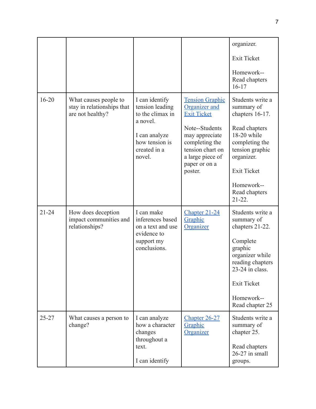|           |                                                                         |                                                                                                                      |                                                                                                                                         | organizer.                                                                                                             |
|-----------|-------------------------------------------------------------------------|----------------------------------------------------------------------------------------------------------------------|-----------------------------------------------------------------------------------------------------------------------------------------|------------------------------------------------------------------------------------------------------------------------|
|           |                                                                         |                                                                                                                      |                                                                                                                                         | <b>Exit Ticket</b>                                                                                                     |
|           |                                                                         |                                                                                                                      |                                                                                                                                         | Homework--<br>Read chapters<br>$16-17$                                                                                 |
| $16 - 20$ | What causes people to<br>stay in relationships that<br>are not healthy? | I can identify<br>tension leading<br>to the climax in<br>a novel.<br>I can analyze<br>how tension is<br>created in a | <b>Tension Graphic</b><br>Organizer and<br><b>Exit Ticket</b><br>Note--Students<br>may appreciate<br>completing the<br>tension chart on | Students write a<br>summary of<br>chapters 16-17.<br>Read chapters<br>18-20 while<br>completing the<br>tension graphic |
|           |                                                                         | novel.                                                                                                               | a large piece of<br>paper or on a<br>poster.                                                                                            | organizer.<br><b>Exit Ticket</b>                                                                                       |
|           |                                                                         |                                                                                                                      |                                                                                                                                         | Homework--<br>Read chapters<br>$21-22.$                                                                                |
| $21 - 24$ | How does deception<br>impact communities and<br>relationships?          | I can make<br>inferences based<br>on a text and use<br>evidence to<br>support my<br>conclusions.                     | Chapter 21-24<br>Graphic<br>Organizer                                                                                                   | Students write a<br>summary of<br>chapters 21-22.                                                                      |
|           |                                                                         |                                                                                                                      |                                                                                                                                         | Complete<br>graphic<br>organizer while<br>reading chapters<br>$23-24$ in class.                                        |
|           |                                                                         |                                                                                                                      |                                                                                                                                         | <b>Exit Ticket</b>                                                                                                     |
|           |                                                                         |                                                                                                                      |                                                                                                                                         | Homework--<br>Read chapter 25                                                                                          |
| $25 - 27$ | What causes a person to<br>change?                                      | I can analyze<br>how a character<br>changes                                                                          | Chapter 26-27<br>Graphic<br><b>Organizer</b>                                                                                            | Students write a<br>summary of<br>chapter 25.                                                                          |
|           |                                                                         | throughout a<br>text.<br>I can identify                                                                              |                                                                                                                                         | Read chapters<br>26-27 in small<br>groups.                                                                             |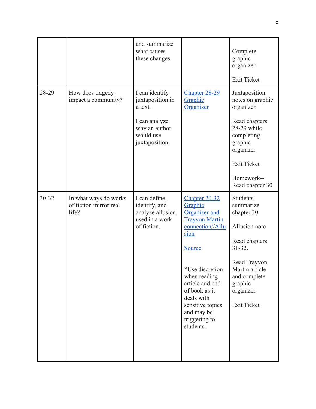|       |                                                          | and summarize<br>what causes<br>these changes.                                                                 |                                                                                                                                                                                                                                                                             | Complete<br>graphic<br>organizer.<br><b>Exit Ticket</b>                                                                                                                                       |
|-------|----------------------------------------------------------|----------------------------------------------------------------------------------------------------------------|-----------------------------------------------------------------------------------------------------------------------------------------------------------------------------------------------------------------------------------------------------------------------------|-----------------------------------------------------------------------------------------------------------------------------------------------------------------------------------------------|
| 28-29 | How does tragedy<br>impact a community?                  | I can identify<br>juxtaposition in<br>a text.<br>I can analyze<br>why an author<br>would use<br>juxtaposition. | Chapter 28-29<br>Graphic<br>Organizer                                                                                                                                                                                                                                       | Juxtaposition<br>notes on graphic<br>organizer.<br>Read chapters<br>28-29 while<br>completing<br>graphic<br>organizer.<br><b>Exit Ticket</b><br>Homework--<br>Read chapter 30                 |
| 30-32 | In what ways do works<br>of fiction mirror real<br>life? | I can define,<br>identify, and<br>analyze allusion<br>used in a work<br>of fiction.                            | Chapter 20-32<br>Graphic<br><b>Organizer</b> and<br><b>Trayvon Martin</b><br>connection//Allu<br>sion<br><b>Source</b><br>*Use discretion<br>when reading<br>article and end<br>of book as it<br>deals with<br>sensitive topics<br>and may be<br>triggering to<br>students. | <b>Students</b><br>summarize<br>chapter 30.<br>Allusion note<br>Read chapters<br>$31 - 32$ .<br>Read Trayvon<br>Martin article<br>and complete<br>graphic<br>organizer.<br><b>Exit Ticket</b> |